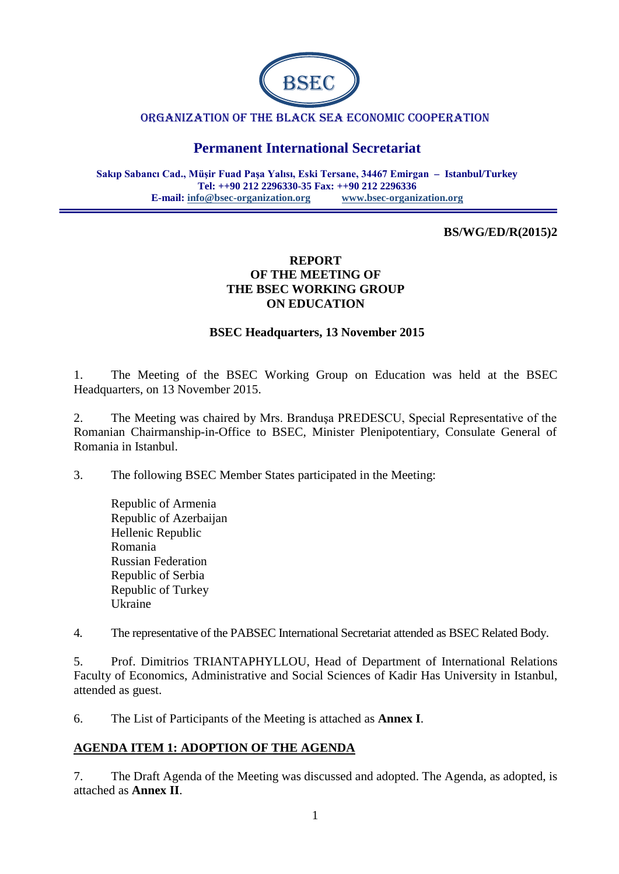

#### ORGANIZATION OF THE BLACK SEA ECONOMIC COOPERATION

# **Permanent International Secretariat**

**Sakıp Sabancı Cad., Müşir Fuad Paşa Yalısı, Eski Tersane, 34467 Emirgan – Istanbul/Turkey Tel: ++90 212 2296330-35 Fax: ++90 212 2296336 E-mail: [info@bsec-organization.org](mailto:info@bsec-organization.org) [www.bsec-organization.org](http://www.bsec-organization.org/)**

#### **BS/WG/ED/R(2015)2**

#### **REPORT OF THE MEETING OF THE BSEC WORKING GROUP ON EDUCATION**

#### **BSEC Headquarters, 13 November 2015**

1. The Meeting of the BSEC Working Group on Education was held at the BSEC Headquarters, on 13 November 2015.

2. The Meeting was chaired by Mrs. Branduşa PREDESCU, Special Representative of the Romanian Chairmanship-in-Office to BSEC, Minister Plenipotentiary, Consulate General of Romania in Istanbul.

3. The following BSEC Member States participated in the Meeting:

Republic of Armenia Republic of Azerbaijan Hellenic Republic Romania Russian Federation Republic of Serbia Republic of Turkey Ukraine

4. The representative of the PABSEC International Secretariat attended as BSEC Related Body.

5. Prof. Dimitrios TRIANTAPHYLLOU, Head of Department of International Relations Faculty of Economics, Administrative and Social Sciences of Kadir Has University in Istanbul, attended as guest.

6. The List of Participants of the Meeting is attached as **Annex I**.

### **AGENDA ITEM 1: ADOPTION OF THE AGENDA**

7. The Draft Agenda of the Meeting was discussed and adopted. The Agenda, as adopted, is attached as **Annex II**.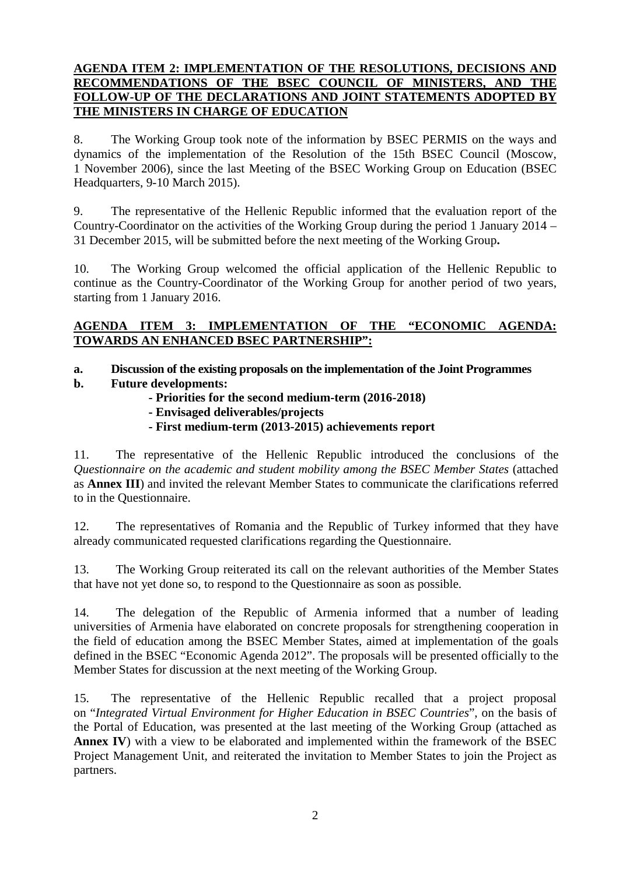### **AGENDA ITEM 2: IMPLEMENTATION OF THE RESOLUTIONS, DECISIONS AND RECOMMENDATIONS OF THE BSEC COUNCIL OF MINISTERS, AND THE FOLLOW-UP OF THE DECLARATIONS AND JOINT STATEMENTS ADOPTED BY THE MINISTERS IN CHARGE OF EDUCATION**

8. The Working Group took note of the information by BSEC PERMIS on the ways and dynamics of the implementation of the Resolution of the 15th BSEC Council (Moscow, 1 November 2006), since the last Meeting of the BSEC Working Group on Education (BSEC Headquarters, 9-10 March 2015).

9. The representative of the Hellenic Republic informed that the evaluation report of the Country-Coordinator on the activities of the Working Group during the period 1 January 2014 – 31 December 2015, will be submitted before the next meeting of the Working Group**.**

10. The Working Group welcomed the official application of the Hellenic Republic to continue as the Country-Coordinator of the Working Group for another period of two years, starting from 1 January 2016.

### **AGENDA ITEM 3: IMPLEMENTATION OF THE "ECONOMIC AGENDA: TOWARDS AN ENHANCED BSEC PARTNERSHIP":**

# **a. Discussion of the existing proposals on the implementation of the Joint Programmes**

- **b. Future developments:**
	- **- Priorities for the second medium-term (2016-2018)**
		- **- Envisaged deliverables/projects**
		- **- First medium-term (2013-2015) achievements report**

11. The representative of the Hellenic Republic introduced the conclusions of the *Questionnaire on the academic and student mobility among the BSEC Member States* (attached as **Annex III**) and invited the relevant Member States to communicate the clarifications referred to in the Questionnaire.

12. The representatives of Romania and the Republic of Turkey informed that they have already communicated requested clarifications regarding the Questionnaire.

13. The Working Group reiterated its call on the relevant authorities of the Member States that have not yet done so, to respond to the Questionnaire as soon as possible.

14. The delegation of the Republic of Armenia informed that a number of leading universities of Armenia have elaborated on concrete proposals for strengthening cooperation in the field of education among the BSEC Member States, aimed at implementation of the goals defined in the BSEC "Economic Agenda 2012". The proposals will be presented officially to the Member States for discussion at the next meeting of the Working Group.

15. The representative of the Hellenic Republic recalled that a project proposal on "*Integrated Virtual Environment for Higher Education in BSEC Countries*", on the basis of the Portal of Education, was presented at the last meeting of the Working Group (attached as **Annex IV**) with a view to be elaborated and implemented within the framework of the BSEC Project Management Unit, and reiterated the invitation to Member States to join the Project as partners.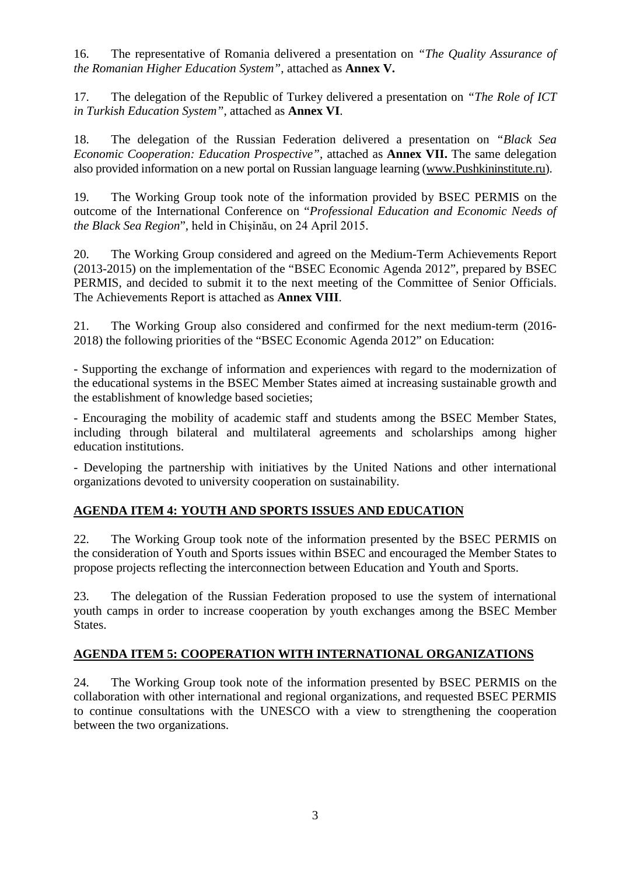16. The representative of Romania delivered a presentation on *"The Quality Assurance of the Romanian Higher Education System"*, attached as **Annex V.**

17. The delegation of the Republic of Turkey delivered a presentation on *"The Role of ICT in Turkish Education System"*, attached as **Annex VI**.

18. The delegation of the Russian Federation delivered a presentation on *"Black Sea Economic Cooperation: Education Prospective"*, attached as **Annex VII.** The same delegation also provided information on a new portal on Russian language learning (www.Pushkininstitute.ru).

19. The Working Group took note of the information provided by BSEC PERMIS on the outcome of the International Conference on "*Professional Education and Economic Needs of the Black Sea Region*", held in Chişinău, on 24 April 2015.

20. The Working Group considered and agreed on the Medium-Term Achievements Report (2013-2015) on the implementation of the "BSEC Economic Agenda 2012", prepared by BSEC PERMIS, and decided to submit it to the next meeting of the Committee of Senior Officials. The Achievements Report is attached as **Annex VIII**.

21. The Working Group also considered and confirmed for the next medium-term (2016- 2018) the following priorities of the "BSEC Economic Agenda 2012" on Education:

- Supporting the exchange of information and experiences with regard to the modernization of the educational systems in the BSEC Member States aimed at increasing sustainable growth and the establishment of knowledge based societies;

- Encouraging the mobility of academic staff and students among the BSEC Member States, including through bilateral and multilateral agreements and scholarships among higher education institutions.

- Developing the partnership with initiatives by the United Nations and other international organizations devoted to university cooperation on sustainability.

### **AGENDA ITEM 4: YOUTH AND SPORTS ISSUES AND EDUCATION**

22. The Working Group took note of the information presented by the BSEC PERMIS on the consideration of Youth and Sports issues within BSEC and encouraged the Member States to propose projects reflecting the interconnection between Education and Youth and Sports.

23. The delegation of the Russian Federation proposed to use the system of international youth camps in order to increase cooperation by youth exchanges among the BSEC Member States.

### **AGENDA ITEM 5: COOPERATION WITH INTERNATIONAL ORGANIZATIONS**

24. The Working Group took note of the information presented by BSEC PERMIS on the collaboration with other international and regional organizations, and requested BSEC PERMIS to continue consultations with the UNESCO with a view to strengthening the cooperation between the two organizations.